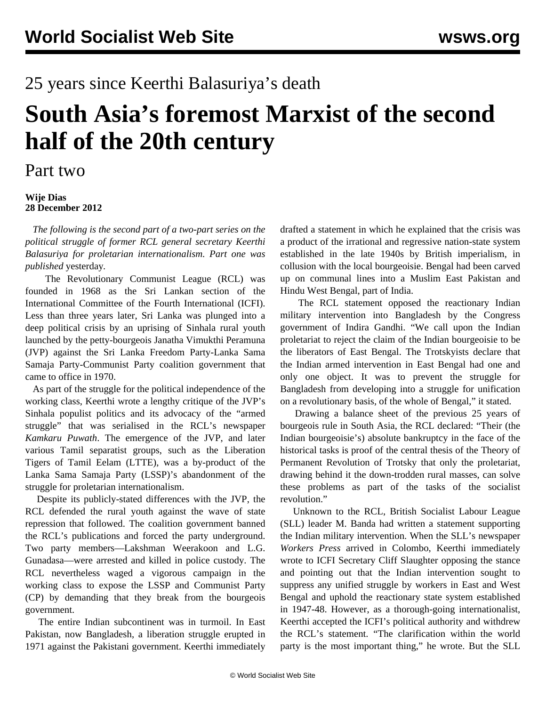## 25 years since Keerthi Balasuriya's death

## **South Asia's foremost Marxist of the second half of the 20th century**

## Part two

## **Wije Dias 28 December 2012**

 *The following is the second part of a two-part series on the political struggle of former RCL general secretary Keerthi Balasuriya for proletarian internationalism. Part one was published* [yesterday](/en/articles/2012/12/27/keer-d27.html)*.*

 The Revolutionary Communist League (RCL) was founded in 1968 as the Sri Lankan section of the International Committee of the Fourth International (ICFI). Less than three years later, Sri Lanka was plunged into a deep political crisis by an uprising of Sinhala rural youth launched by the petty-bourgeois Janatha Vimukthi Peramuna (JVP) against the Sri Lanka Freedom Party-Lanka Sama Samaja Party-Communist Party coalition government that came to office in 1970.

 As part of the struggle for the political independence of the working class, Keerthi wrote a lengthy critique of the JVP's Sinhala populist politics and its advocacy of the "armed struggle" that was serialised in the RCL's newspaper *Kamkaru Puwath*. The emergence of the JVP, and later various Tamil separatist groups, such as the Liberation Tigers of Tamil Eelam (LTTE), was a by-product of the Lanka Sama Samaja Party (LSSP)'s abandonment of the struggle for proletarian internationalism.

 Despite its publicly-stated differences with the JVP, the RCL defended the rural youth against the wave of state repression that followed. The coalition government banned the RCL's publications and forced the party underground. Two party members—Lakshman Weerakoon and L.G. Gunadasa—were arrested and killed in police custody. The RCL nevertheless waged a vigorous campaign in the working class to expose the LSSP and Communist Party (CP) by demanding that they break from the bourgeois government.

 The entire Indian subcontinent was in turmoil. In East Pakistan, now Bangladesh, a liberation struggle erupted in 1971 against the Pakistani government. Keerthi immediately drafted a statement in which he explained that the crisis was a product of the irrational and regressive nation-state system established in the late 1940s by British imperialism, in collusion with the local bourgeoisie. Bengal had been carved up on communal lines into a Muslim East Pakistan and Hindu West Bengal, part of India.

 The RCL statement opposed the reactionary Indian military intervention into Bangladesh by the Congress government of Indira Gandhi. "We call upon the Indian proletariat to reject the claim of the Indian bourgeoisie to be the liberators of East Bengal. The Trotskyists declare that the Indian armed intervention in East Bengal had one and only one object. It was to prevent the struggle for Bangladesh from developing into a struggle for unification on a revolutionary basis, of the whole of Bengal," it stated.

 Drawing a balance sheet of the previous 25 years of bourgeois rule in South Asia, the RCL declared: "Their (the Indian bourgeoisie's) absolute bankruptcy in the face of the historical tasks is proof of the central thesis of the Theory of Permanent Revolution of Trotsky that only the proletariat, drawing behind it the down-trodden rural masses, can solve these problems as part of the tasks of the socialist revolution."

 Unknown to the RCL, British Socialist Labour League (SLL) leader M. Banda had written a statement supporting the Indian military intervention. When the SLL's newspaper *Workers Press* arrived in Colombo, Keerthi immediately wrote to ICFI Secretary Cliff Slaughter opposing the stance and pointing out that the Indian intervention sought to suppress any unified struggle by workers in East and West Bengal and uphold the reactionary state system established in 1947-48. However, as a thorough-going internationalist, Keerthi accepted the ICFI's political authority and withdrew the RCL's statement. "The clarification within the world party is the most important thing," he wrote. But the SLL